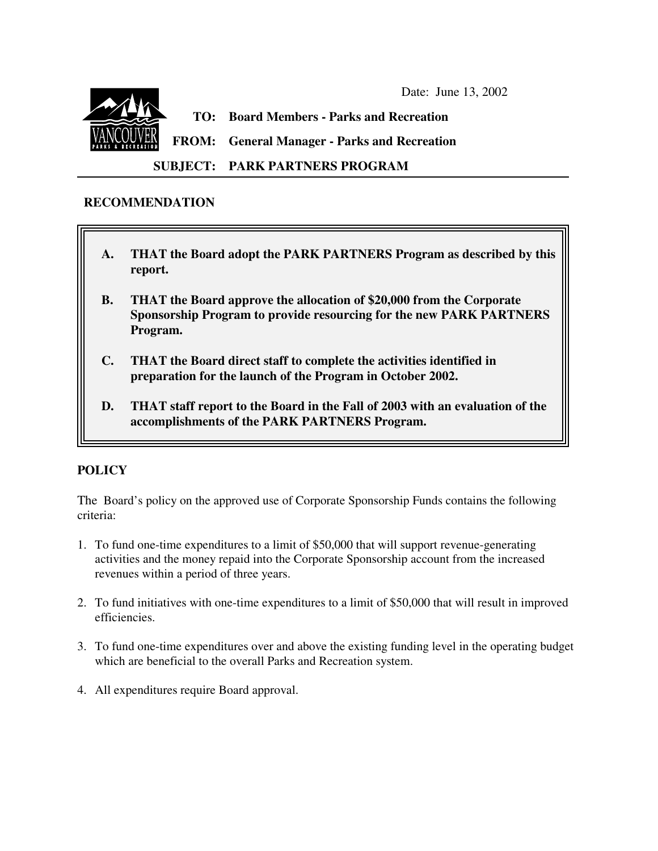Date: June 13, 2002



**TO: Board Members - Parks and Recreation**

**FROM: General Manager - Parks and Recreation**

**SUBJECT: PARK PARTNERS PROGRAM**

# **RECOMMENDATION**

- **A. THAT the Board adopt the PARK PARTNERS Program as described by this report.**
- **B. THAT the Board approve the allocation of \$20,000 from the Corporate Sponsorship Program to provide resourcing for the new PARK PARTNERS Program.**
- **C. THAT the Board direct staff to complete the activities identified in preparation for the launch of the Program in October 2002.**
- **D. THAT staff report to the Board in the Fall of 2003 with an evaluation of the accomplishments of the PARK PARTNERS Program.**

# **POLICY**

The Board's policy on the approved use of Corporate Sponsorship Funds contains the following criteria:

- 1. To fund one-time expenditures to a limit of \$50,000 that will support revenue-generating activities and the money repaid into the Corporate Sponsorship account from the increased revenues within a period of three years.
- 2. To fund initiatives with one-time expenditures to a limit of \$50,000 that will result in improved efficiencies.
- 3. To fund one-time expenditures over and above the existing funding level in the operating budget which are beneficial to the overall Parks and Recreation system.
- 4. All expenditures require Board approval.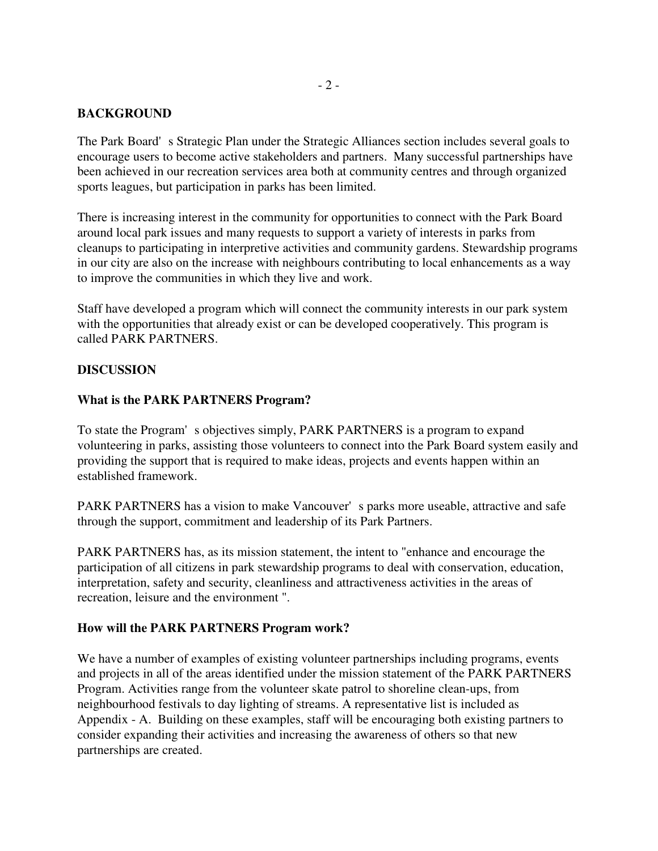## **BACKGROUND**

The Park Board's Strategic Plan under the Strategic Alliances section includes several goals to encourage users to become active stakeholders and partners. Many successful partnerships have been achieved in our recreation services area both at community centres and through organized sports leagues, but participation in parks has been limited.

There is increasing interest in the community for opportunities to connect with the Park Board around local park issues and many requests to support a variety of interests in parks from cleanups to participating in interpretive activities and community gardens. Stewardship programs in our city are also on the increase with neighbours contributing to local enhancements as a way to improve the communities in which they live and work.

Staff have developed a program which will connect the community interests in our park system with the opportunities that already exist or can be developed cooperatively. This program is called PARK PARTNERS.

### **DISCUSSION**

### **What is the PARK PARTNERS Program?**

To state the Program's objectives simply, PARK PARTNERS is a program to expand volunteering in parks, assisting those volunteers to connect into the Park Board system easily and providing the support that is required to make ideas, projects and events happen within an established framework.

PARK PARTNERS has a vision to make Vancouver's parks more useable, attractive and safe through the support, commitment and leadership of its Park Partners.

PARK PARTNERS has, as its mission statement, the intent to "enhance and encourage the participation of all citizens in park stewardship programs to deal with conservation, education, interpretation, safety and security, cleanliness and attractiveness activities in the areas of recreation, leisure and the environment ".

### **How will the PARK PARTNERS Program work?**

We have a number of examples of existing volunteer partnerships including programs, events and projects in all of the areas identified under the mission statement of the PARK PARTNERS Program. Activities range from the volunteer skate patrol to shoreline clean-ups, from neighbourhood festivals to day lighting of streams. A representative list is included as Appendix - A. Building on these examples, staff will be encouraging both existing partners to consider expanding their activities and increasing the awareness of others so that new partnerships are created.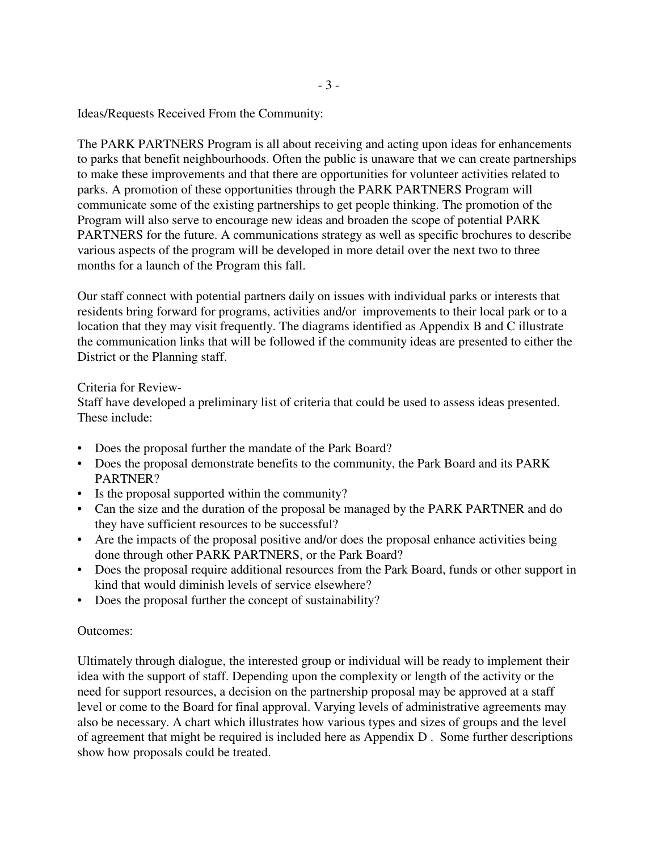Ideas/Requests Received From the Community:

The PARK PARTNERS Program is all about receiving and acting upon ideas for enhancements to parks that benefit neighbourhoods. Often the public is unaware that we can create partnerships to make these improvements and that there are opportunities for volunteer activities related to parks. A promotion of these opportunities through the PARK PARTNERS Program will communicate some of the existing partnerships to get people thinking. The promotion of the Program will also serve to encourage new ideas and broaden the scope of potential PARK PARTNERS for the future. A communications strategy as well as specific brochures to describe various aspects of the program will be developed in more detail over the next two to three months for a launch of the Program this fall.

Our staff connect with potential partners daily on issues with individual parks or interests that residents bring forward for programs, activities and/or improvements to their local park or to a location that they may visit frequently. The diagrams identified as Appendix B and C illustrate the communication links that will be followed if the community ideas are presented to either the District or the Planning staff.

## Criteria for Review-

Staff have developed a preliminary list of criteria that could be used to assess ideas presented. These include:

- Does the proposal further the mandate of the Park Board?
- Does the proposal demonstrate benefits to the community, the Park Board and its PARK PARTNER?
- Is the proposal supported within the community?
- Can the size and the duration of the proposal be managed by the PARK PARTNER and do they have sufficient resources to be successful?
- Are the impacts of the proposal positive and/or does the proposal enhance activities being done through other PARK PARTNERS, or the Park Board?
- Does the proposal require additional resources from the Park Board, funds or other support in kind that would diminish levels of service elsewhere?
- Does the proposal further the concept of sustainability?

### Outcomes:

Ultimately through dialogue, the interested group or individual will be ready to implement their idea with the support of staff. Depending upon the complexity or length of the activity or the need for support resources, a decision on the partnership proposal may be approved at a staff level or come to the Board for final approval. Varying levels of administrative agreements may also be necessary. A chart which illustrates how various types and sizes of groups and the level of agreement that might be required is included here as Appendix D . Some further descriptions show how proposals could be treated.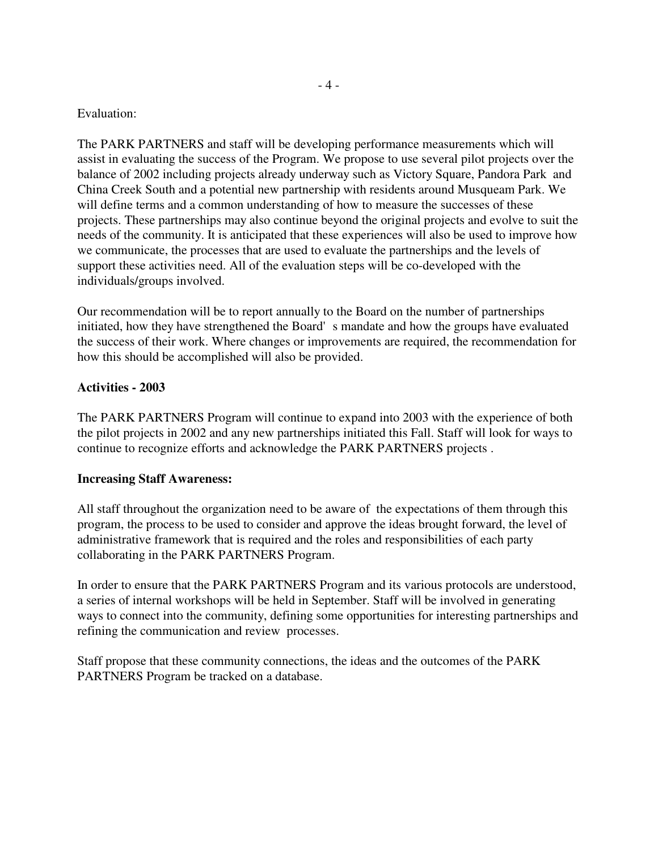#### Evaluation:

The PARK PARTNERS and staff will be developing performance measurements which will assist in evaluating the success of the Program. We propose to use several pilot projects over the balance of 2002 including projects already underway such as Victory Square, Pandora Park and China Creek South and a potential new partnership with residents around Musqueam Park. We will define terms and a common understanding of how to measure the successes of these projects. These partnerships may also continue beyond the original projects and evolve to suit the needs of the community. It is anticipated that these experiences will also be used to improve how we communicate, the processes that are used to evaluate the partnerships and the levels of support these activities need. All of the evaluation steps will be co-developed with the individuals/groups involved.

Our recommendation will be to report annually to the Board on the number of partnerships initiated, how they have strengthened the Board's mandate and how the groups have evaluated the success of their work. Where changes or improvements are required, the recommendation for how this should be accomplished will also be provided.

### **Activities - 2003**

The PARK PARTNERS Program will continue to expand into 2003 with the experience of both the pilot projects in 2002 and any new partnerships initiated this Fall. Staff will look for ways to continue to recognize efforts and acknowledge the PARK PARTNERS projects .

### **Increasing Staff Awareness:**

All staff throughout the organization need to be aware of the expectations of them through this program, the process to be used to consider and approve the ideas brought forward, the level of administrative framework that is required and the roles and responsibilities of each party collaborating in the PARK PARTNERS Program.

In order to ensure that the PARK PARTNERS Program and its various protocols are understood, a series of internal workshops will be held in September. Staff will be involved in generating ways to connect into the community, defining some opportunities for interesting partnerships and refining the communication and review processes.

Staff propose that these community connections, the ideas and the outcomes of the PARK PARTNERS Program be tracked on a database.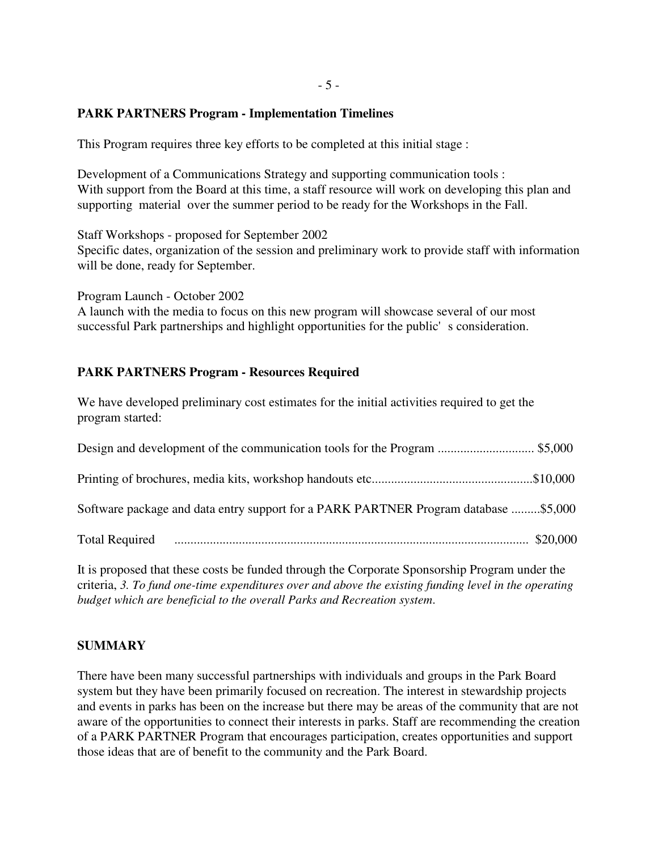#### **PARK PARTNERS Program - Implementation Timelines**

This Program requires three key efforts to be completed at this initial stage :

Development of a Communications Strategy and supporting communication tools : With support from the Board at this time, a staff resource will work on developing this plan and supporting material over the summer period to be ready for the Workshops in the Fall.

Staff Workshops - proposed for September 2002 Specific dates, organization of the session and preliminary work to provide staff with information will be done, ready for September.

Program Launch - October 2002 A launch with the media to focus on this new program will showcase several of our most successful Park partnerships and highlight opportunities for the public's consideration.

## **PARK PARTNERS Program - Resources Required**

We have developed preliminary cost estimates for the initial activities required to get the program started:

| Software package and data entry support for a PARK PARTNER Program database \$5,000 |  |
|-------------------------------------------------------------------------------------|--|
|                                                                                     |  |

It is proposed that these costs be funded through the Corporate Sponsorship Program under the criteria, *3. To fund one-time expenditures over and above the existing funding level in the operating budget which are beneficial to the overall Parks and Recreation system*.

### **SUMMARY**

There have been many successful partnerships with individuals and groups in the Park Board system but they have been primarily focused on recreation. The interest in stewardship projects and events in parks has been on the increase but there may be areas of the community that are not aware of the opportunities to connect their interests in parks. Staff are recommending the creation of a PARK PARTNER Program that encourages participation, creates opportunities and support those ideas that are of benefit to the community and the Park Board.